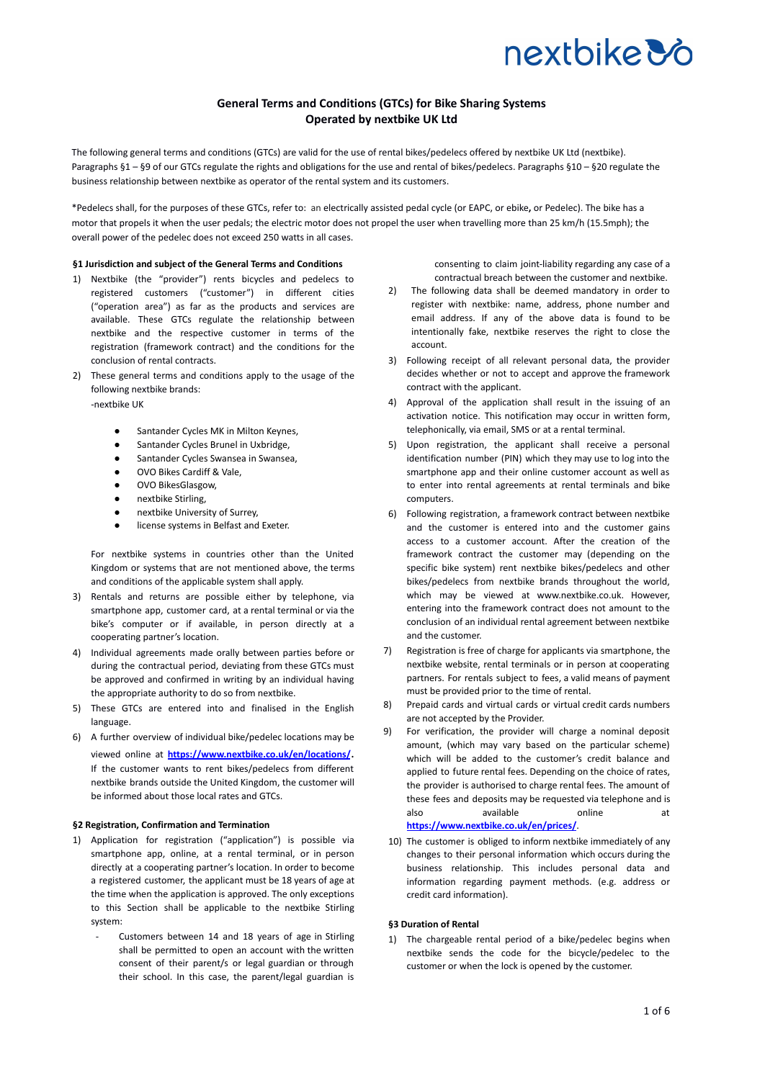## **General Terms and Conditions (GTCs) for Bike Sharing Systems Operated by nextbike UK Ltd**

The following general terms and conditions (GTCs) are valid for the use of rental bikes/pedelecs offered by nextbike UK Ltd (nextbike). Paragraphs §1 – §9 of our GTCs regulate the rights and obligations for the use and rental of bikes/pedelecs. Paragraphs §10 – §20 regulate the business relationship between nextbike as operator of the rental system and its customers.

\*Pedelecs shall, for the purposes of these GTCs, refer to: an electrically assisted pedal cycle (or EAPC, or ebike**,** or Pedelec). The bike has a motor that propels it when the user pedals; the electric motor does not propel the user when travelling more than 25 km/h (15.5mph); the overall power of the pedelec does not exceed 250 watts in all cases.

### **§1 Jurisdiction and subject of the General Terms and Conditions**

- 1) Nextbike (the "provider") rents bicycles and pedelecs to registered customers ("customer") in different cities ("operation area") as far as the products and services are available. These GTCs regulate the relationship between nextbike and the respective customer in terms of the registration (framework contract) and the conditions for the conclusion of rental contracts.
- 2) These general terms and conditions apply to the usage of the following nextbike brands:

-nextbike UK

- Santander Cycles MK in Milton Keynes,
- Santander Cycles Brunel in Uxbridge,
- Santander Cycles Swansea in Swansea,
- OVO Bikes Cardiff & Vale,
- OVO BikesGlasgow,
- nextbike Stirling,
- nextbike University of Surrey,
- license systems in Belfast and Exeter.

For nextbike systems in countries other than the United Kingdom or systems that are not mentioned above, the terms and conditions of the applicable system shall apply.

- 3) Rentals and returns are possible either by telephone, via smartphone app, customer card, at a rental terminal or via the bike's computer or if available, in person directly at a cooperating partner's location.
- 4) Individual agreements made orally between parties before or during the contractual period, deviating from these GTCs must be approved and confirmed in writing by an individual having the appropriate authority to do so from nextbike.
- 5) These GTCs are entered into and finalised in the English language.
- 6) A further overview of individual bike/pedelec locations may be viewed online at **<https://www.nextbike.co.uk/en/locations/>**. If the customer wants to rent bikes/pedelecs from different nextbike brands outside the United Kingdom, the customer will be informed about those local rates and GTCs.

## **§2 Registration, Confirmation and Termination**

- 1) Application for registration ("application") is possible via smartphone app, online, at a rental terminal, or in person directly at a cooperating partner's location. In order to become a registered customer, the applicant must be 18 years of age at the time when the application is approved. The only exceptions to this Section shall be applicable to the nextbike Stirling system:
	- Customers between 14 and 18 years of age in Stirling shall be permitted to open an account with the written consent of their parent/s or legal guardian or through their school. In this case, the parent/legal guardian is

consenting to claim joint-liability regarding any case of a contractual breach between the customer and nextbike.

- 2) The following data shall be deemed mandatory in order to register with nextbike: name, address, phone number and email address. If any of the above data is found to be intentionally fake, nextbike reserves the right to close the account.
- 3) Following receipt of all relevant personal data, the provider decides whether or not to accept and approve the framework contract with the applicant.
- 4) Approval of the application shall result in the issuing of an activation notice. This notification may occur in written form, telephonically, via email, SMS or at a rental terminal.
- 5) Upon registration, the applicant shall receive a personal identification number (PIN) which they may use to log into the smartphone app and their online customer account as well as to enter into rental agreements at rental terminals and bike computers.
- 6) Following registration, a framework contract between nextbike and the customer is entered into and the customer gains access to a customer account. After the creation of the framework contract the customer may (depending on the specific bike system) rent nextbike bikes/pedelecs and other bikes/pedelecs from nextbike brands throughout the world, which may be viewed at www.nextbike.co.uk. However, entering into the framework contract does not amount to the conclusion of an individual rental agreement between nextbike and the customer.
- 7) Registration is free of charge for applicants via smartphone, the nextbike website, rental terminals or in person at cooperating partners. For rentals subject to fees, a valid means of payment must be provided prior to the time of rental.
- 8) Prepaid cards and virtual cards or virtual credit cards numbers are not accepted by the Provider.
- 9) For verification, the provider will charge a nominal deposit amount, (which may vary based on the particular scheme) which will be added to the customer's credit balance and applied to future rental fees. Depending on the choice of rates, the provider is authorised to charge rental fees. The amount of these fees and deposits may be requested via telephone and is also available online at **<https://www.nextbike.co.uk/en/prices/>**.
- 10) The customer is obliged to inform nextbike immediately of any changes to their personal information which occurs during the business relationship. This includes personal data and information regarding payment methods. (e.g. address or credit card information).

#### **§3 Duration of Rental**

1) The chargeable rental period of a bike/pedelec begins when nextbike sends the code for the bicycle/pedelec to the customer or when the lock is opened by the customer.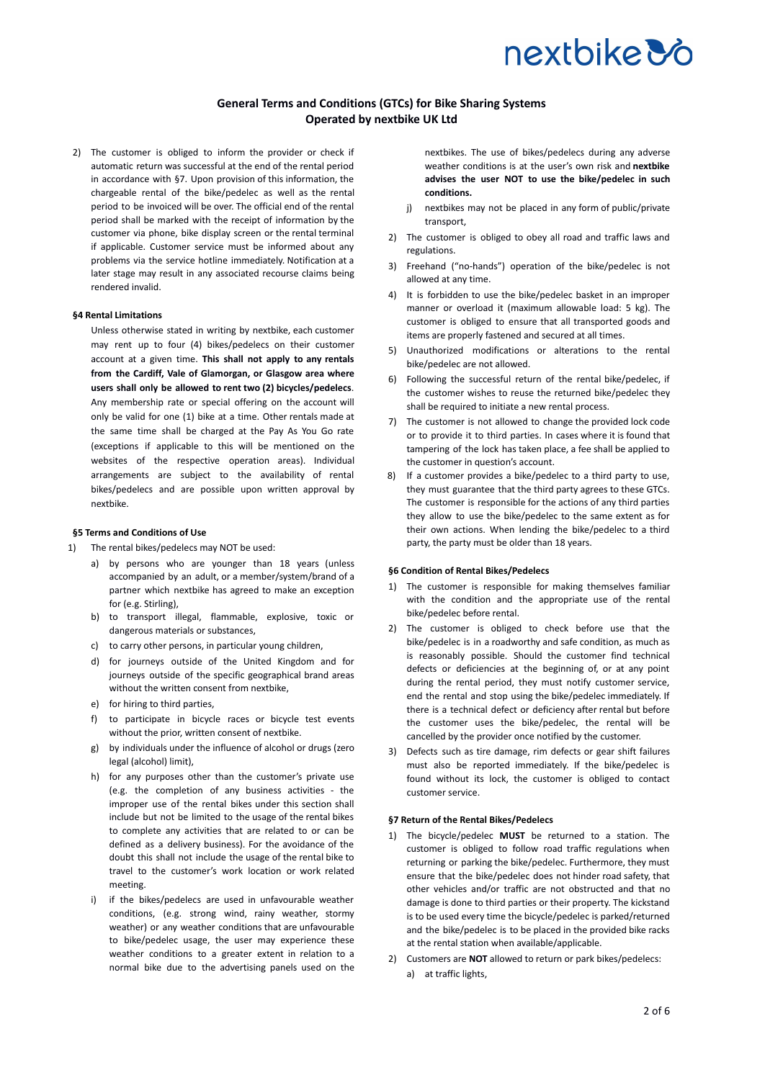## **General Terms and Conditions (GTCs) for Bike Sharing Systems Operated by nextbike UK Ltd**

2) The customer is obliged to inform the provider or check if automatic return was successful at the end of the rental period in accordance with §7. Upon provision of this information, the chargeable rental of the bike/pedelec as well as the rental period to be invoiced will be over. The official end of the rental period shall be marked with the receipt of information by the customer via phone, bike display screen or the rental terminal if applicable. Customer service must be informed about any problems via the service hotline immediately. Notification at a later stage may result in any associated recourse claims being rendered invalid.

## **§4 Rental Limitations**

Unless otherwise stated in writing by nextbike, each customer may rent up to four (4) bikes/pedelecs on their customer account at a given time. **This shall not apply to any rentals from the Cardiff, Vale of Glamorgan, or Glasgow area where users shall only be allowed to rent two (2) bicycles/pedelecs**. Any membership rate or special offering on the account will only be valid for one (1) bike at a time. Other rentals made at the same time shall be charged at the Pay As You Go rate (exceptions if applicable to this will be mentioned on the websites of the respective operation areas). Individual arrangements are subject to the availability of rental bikes/pedelecs and are possible upon written approval by nextbike.

## **§5 Terms and Conditions of Use**

- 1) The rental bikes/pedelecs may NOT be used:
	- a) by persons who are younger than 18 years (unless accompanied by an adult, or a member/system/brand of a partner which nextbike has agreed to make an exception for (e.g. Stirling),
	- b) to transport illegal, flammable, explosive, toxic or dangerous materials or substances,
	- c) to carry other persons, in particular young children,
	- d) for journeys outside of the United Kingdom and for journeys outside of the specific geographical brand areas without the written consent from nextbike,
	- e) for hiring to third parties,
	- f) to participate in bicycle races or bicycle test events without the prior, written consent of nextbike.
	- g) by individuals under the influence of alcohol or drugs (zero legal (alcohol) limit),
	- h) for any purposes other than the customer's private use (e.g. the completion of any business activities - the improper use of the rental bikes under this section shall include but not be limited to the usage of the rental bikes to complete any activities that are related to or can be defined as a delivery business). For the avoidance of the doubt this shall not include the usage of the rental bike to travel to the customer's work location or work related meeting.
	- i) if the bikes/pedelecs are used in unfavourable weather conditions, (e.g. strong wind, rainy weather, stormy weather) or any weather conditions that are unfavourable to bike/pedelec usage, the user may experience these weather conditions to a greater extent in relation to a normal bike due to the advertising panels used on the

nextbikes. The use of bikes/pedelecs during any adverse weather conditions is at the user's own risk and **nextbike advises the user NOT to use the bike/pedelec in such conditions.**

- j) nextbikes may not be placed in any form of public/private transport,
- 2) The customer is obliged to obey all road and traffic laws and regulations.
- Freehand ("no-hands") operation of the bike/pedelec is not allowed at any time.
- It is forbidden to use the bike/pedelec basket in an improper manner or overload it (maximum allowable load: 5 kg). The customer is obliged to ensure that all transported goods and items are properly fastened and secured at all times.
- 5) Unauthorized modifications or alterations to the rental bike/pedelec are not allowed.
- 6) Following the successful return of the rental bike/pedelec, if the customer wishes to reuse the returned bike/pedelec they shall be required to initiate a new rental process.
- 7) The customer is not allowed to change the provided lock code or to provide it to third parties. In cases where it is found that tampering of the lock has taken place, a fee shall be applied to the customer in question's account.
- 8) If a customer provides a bike/pedelec to a third party to use, they must guarantee that the third party agrees to these GTCs. The customer is responsible for the actions of any third parties they allow to use the bike/pedelec to the same extent as for their own actions. When lending the bike/pedelec to a third party, the party must be older than 18 years.

#### **§6 Condition of Rental Bikes/Pedelecs**

- 1) The customer is responsible for making themselves familiar with the condition and the appropriate use of the rental bike/pedelec before rental.
- 2) The customer is obliged to check before use that the bike/pedelec is in a roadworthy and safe condition, as much as is reasonably possible. Should the customer find technical defects or deficiencies at the beginning of, or at any point during the rental period, they must notify customer service, end the rental and stop using the bike/pedelec immediately. If there is a technical defect or deficiency after rental but before the customer uses the bike/pedelec, the rental will be cancelled by the provider once notified by the customer.
- 3) Defects such as tire damage, rim defects or gear shift failures must also be reported immediately. If the bike/pedelec is found without its lock, the customer is obliged to contact customer service.

## **§7 Return of the Rental Bikes/Pedelecs**

- 1) The bicycle/pedelec **MUST** be returned to a station. The customer is obliged to follow road traffic regulations when returning or parking the bike/pedelec. Furthermore, they must ensure that the bike/pedelec does not hinder road safety, that other vehicles and/or traffic are not obstructed and that no damage is done to third parties or their property. The kickstand is to be used every time the bicycle/pedelec is parked/returned and the bike/pedelec is to be placed in the provided bike racks at the rental station when available/applicable.
- 2) Customers are **NOT** allowed to return or park bikes/pedelecs: a) at traffic lights,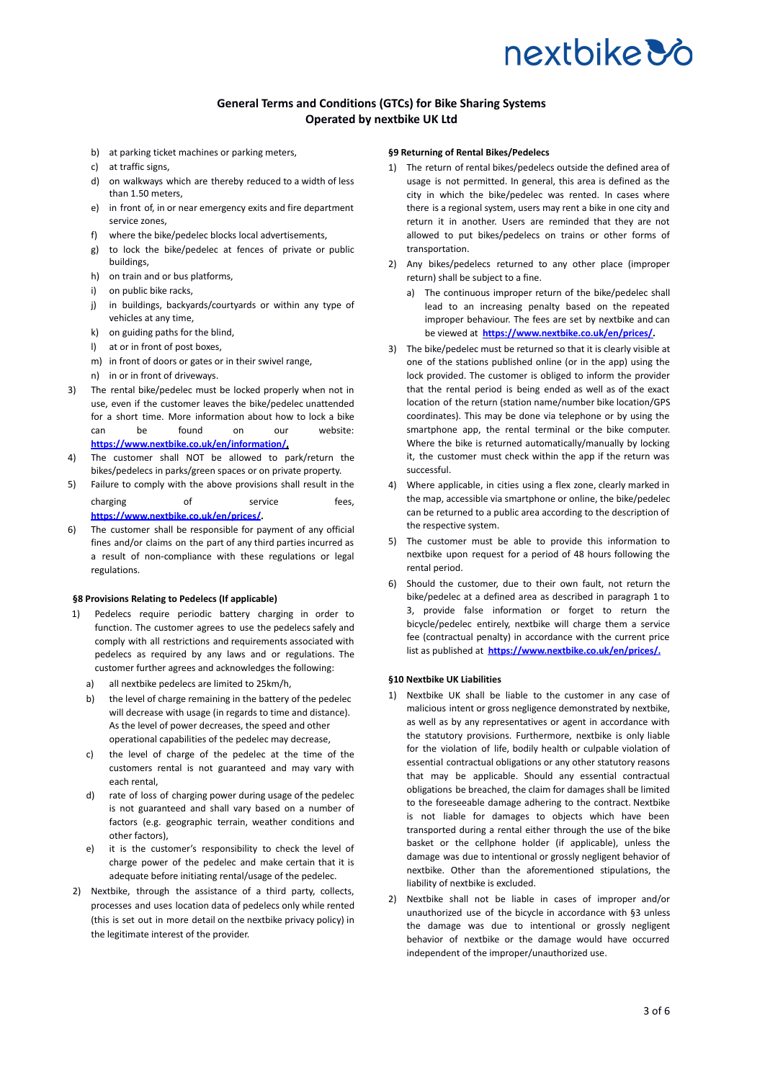## **General Terms and Conditions (GTCs) for Bike Sharing Systems Operated by nextbike UK Ltd**

- b) at parking ticket machines or parking meters,
- c) at traffic signs,
- d) on walkways which are thereby reduced to a width of less than 1.50 meters,
- e) in front of, in or near emergency exits and fire department service zones,
- f) where the bike/pedelec blocks local advertisements,
- g) to lock the bike/pedelec at fences of private or public buildings,
- h) on train and or bus platforms,
- i) on public bike racks,
- j) in buildings, backyards/courtyards or within any type of vehicles at any time,
- k) on guiding paths for the blind,
- l) at or in front of post boxes,
- m) in front of doors or gates or in their swivel range,
- n) in or in front of driveways.
- 3) The rental bike/pedelec must be locked properly when not in use, even if the customer leaves the bike/pedelec unattended for a short time. More information about how to lock a bike can be found on our website: **<https://www.nextbike.co.uk/en/information/>,**
- 4) The customer shall NOT be allowed to park/return the bikes/pedelecs in parks/green spaces or on private property.
- 5) Failure to comply with the above provisions shall result in the charging of service fees, **<https://www.nextbike.co.uk/en/prices/>.**
- 6) The customer shall be responsible for payment of any official fines and/or claims on the part of any third parties incurred as a result of non-compliance with these regulations or legal regulations.

### **§8 Provisions Relating to Pedelecs (If applicable)**

- 1) Pedelecs require periodic battery charging in order to function. The customer agrees to use the pedelecs safely and comply with all restrictions and requirements associated with pedelecs as required by any laws and or regulations. The customer further agrees and acknowledges the following:
	- a) all nextbike pedelecs are limited to 25km/h,
	- b) the level of charge remaining in the battery of the pedelec will decrease with usage (in regards to time and distance). As the level of power decreases, the speed and other operational capabilities of the pedelec may decrease,
	- c) the level of charge of the pedelec at the time of the customers rental is not guaranteed and may vary with each rental,
	- d) rate of loss of charging power during usage of the pedelec is not guaranteed and shall vary based on a number of factors (e.g. geographic terrain, weather conditions and other factors),
	- e) it is the customer's responsibility to check the level of charge power of the pedelec and make certain that it is adequate before initiating rental/usage of the pedelec.
- 2) Nextbike, through the assistance of a third party, collects, processes and uses location data of pedelecs only while rented (this is set out in more detail on the nextbike privacy policy) in the legitimate interest of the provider.

## **§9 Returning of Rental Bikes/Pedelecs**

- 1) The return of rental bikes/pedelecs outside the defined area of usage is not permitted. In general, this area is defined as the city in which the bike/pedelec was rented. In cases where there is a regional system, users may rent a bike in one city and return it in another. Users are reminded that they are not allowed to put bikes/pedelecs on trains or other forms of transportation.
- 2) Any bikes/pedelecs returned to any other place (improper return) shall be subject to a fine.
	- a) The continuous improper return of the bike/pedelec shall lead to an increasing penalty based on the repeated improper behaviour. The fees are set by nextbike and can be viewed at **[https://www.nextbike.co.uk/en/prices/.](https://www.nextbike.co.uk/en/prices/)**
- 3) The bike/pedelec must be returned so that it is clearly visible at one of the stations published online (or in the app) using the lock provided. The customer is obliged to inform the provider that the rental period is being ended as well as of the exact location of the return (station name/number bike location/GPS coordinates). This may be done via telephone or by using the smartphone app, the rental terminal or the bike computer. Where the bike is returned automatically/manually by locking it, the customer must check within the app if the return was successful.
- Where applicable, in cities using a flex zone, clearly marked in the map, accessible via smartphone or online, the bike/pedelec can be returned to a public area according to the description of the respective system.
- 5) The customer must be able to provide this information to nextbike upon request for a period of 48 hours following the rental period.
- Should the customer, due to their own fault, not return the bike/pedelec at a defined area as described in paragraph 1 to 3, provide false information or forget to return the bicycle/pedelec entirely, nextbike will charge them a service fee (contractual penalty) in accordance with the current price list as published at **[https://www.nextbike.co.uk/en/prices/.](https://www.nextbike.co.uk/en/prices/)**

## **§10 Nextbike UK Liabilities**

- 1) Nextbike UK shall be liable to the customer in any case of malicious intent or gross negligence demonstrated by nextbike, as well as by any representatives or agent in accordance with the statutory provisions. Furthermore, nextbike is only liable for the violation of life, bodily health or culpable violation of essential contractual obligations or any other statutory reasons that may be applicable. Should any essential contractual obligations be breached, the claim for damages shall be limited to the foreseeable damage adhering to the contract. Nextbike is not liable for damages to objects which have been transported during a rental either through the use of the bike basket or the cellphone holder (if applicable), unless the damage was due to intentional or grossly negligent behavior of nextbike. Other than the aforementioned stipulations, the liability of nextbike is excluded.
- 2) Nextbike shall not be liable in cases of improper and/or unauthorized use of the bicycle in accordance with §3 unless the damage was due to intentional or grossly negligent behavior of nextbike or the damage would have occurred independent of the improper/unauthorized use.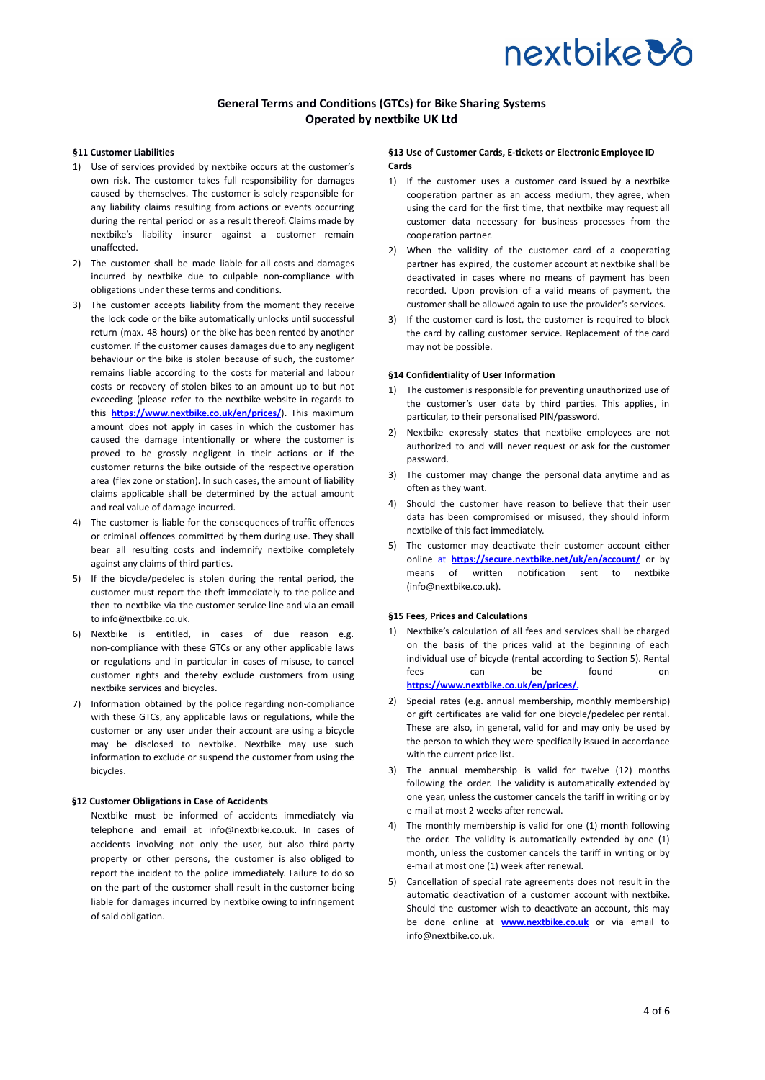## **General Terms and Conditions (GTCs) for Bike Sharing Systems Operated by nextbike UK Ltd**

## **§11 Customer Liabilities**

- 1) Use of services provided by nextbike occurs at the customer's own risk. The customer takes full responsibility for damages caused by themselves. The customer is solely responsible for any liability claims resulting from actions or events occurring during the rental period or as a result thereof. Claims made by nextbike's liability insurer against a customer remain unaffected.
- 2) The customer shall be made liable for all costs and damages incurred by nextbike due to culpable non-compliance with obligations under these terms and conditions.
- 3) The customer accepts liability from the moment they receive the lock code or the bike automatically unlocks until successful return (max. 48 hours) or the bike has been rented by another customer. If the customer causes damages due to any negligent behaviour or the bike is stolen because of such, the customer remains liable according to the costs for material and labour costs or recovery of stolen bikes to an amount up to but not exceeding (please refer to the nextbike website in regards to this **<https://www.nextbike.co.uk/en/prices/>**). This maximum amount does not apply in cases in which the customer has caused the damage intentionally or where the customer is proved to be grossly negligent in their actions or if the customer returns the bike outside of the respective operation area (flex zone or station). In such cases, the amount of liability claims applicable shall be determined by the actual amount and real value of damage incurred.
- 4) The customer is liable for the consequences of traffic offences or criminal offences committed by them during use. They shall bear all resulting costs and indemnify nextbike completely against any claims of third parties.
- 5) If the bicycle/pedelec is stolen during the rental period, the customer must report the theft immediately to the police and then to nextbike via the customer service line and via an email to info@nextbike.co.uk.
- 6) Nextbike is entitled, in cases of due reason e.g. non-compliance with these GTCs or any other applicable laws or regulations and in particular in cases of misuse, to cancel customer rights and thereby exclude customers from using nextbike services and bicycles.
- 7) Information obtained by the police regarding non-compliance with these GTCs, any applicable laws or regulations, while the customer or any user under their account are using a bicycle may be disclosed to nextbike. Nextbike may use such information to exclude or suspend the customer from using the bicycles.

#### **§12 Customer Obligations in Case of Accidents**

Nextbike must be informed of accidents immediately via telephone and email at info@nextbike.co.uk. In cases of accidents involving not only the user, but also third-party property or other persons, the customer is also obliged to report the incident to the police immediately. Failure to do so on the part of the customer shall result in the customer being liable for damages incurred by nextbike owing to infringement of said obligation.

## **§13 Use of Customer Cards, E-tickets or Electronic Employee ID Cards**

- 1) If the customer uses a customer card issued by a nextbike cooperation partner as an access medium, they agree, when using the card for the first time, that nextbike may request all customer data necessary for business processes from the cooperation partner.
- 2) When the validity of the customer card of a cooperating partner has expired, the customer account at nextbike shall be deactivated in cases where no means of payment has been recorded. Upon provision of a valid means of payment, the customer shall be allowed again to use the provider's services.
- 3) If the customer card is lost, the customer is required to block the card by calling customer service. Replacement of the card may not be possible.

## **§14 Confidentiality of User Information**

- 1) The customer is responsible for preventing unauthorized use of the customer's user data by third parties. This applies, in particular, to their personalised PIN/password.
- 2) Nextbike expressly states that nextbike employees are not authorized to and will never request or ask for the customer password.
- 3) The customer may change the personal data anytime and as often as they want.
- 4) Should the customer have reason to believe that their user data has been compromised or misused, they should inform nextbike of this fact immediately.
- 5) The customer may deactivate their customer account either online at **<https://secure.nextbike.net/uk/en/account/>** or by means of written notification sent to nextbike (info@nextbike.co.uk).

## **§15 Fees, Prices and Calculations**

- 1) Nextbike's calculation of all fees and services shall be charged on the basis of the prices valid at the beginning of each individual use of bicycle (rental according to Section 5). Rental fees can be found on **<https://www.nextbike.co.uk/en/prices/>.**
- 2) Special rates (e.g. annual membership, monthly membership) or gift certificates are valid for one bicycle/pedelec per rental. These are also, in general, valid for and may only be used by the person to which they were specifically issued in accordance with the current price list.
- 3) The annual membership is valid for twelve (12) months following the order. The validity is automatically extended by one year, unless the customer cancels the tariff in writing or by e-mail at most 2 weeks after renewal.
- 4) The monthly membership is valid for one (1) month following the order. The validity is automatically extended by one (1) month, unless the customer cancels the tariff in writing or by e-mail at most one (1) week after renewal.
- 5) Cancellation of special rate agreements does not result in the automatic deactivation of a customer account with nextbike. Should the customer wish to deactivate an account, this may be done online at **[www.nextbike.co.uk](http://www.nextbike.co.uk)** or via email to info@nextbike.co.uk.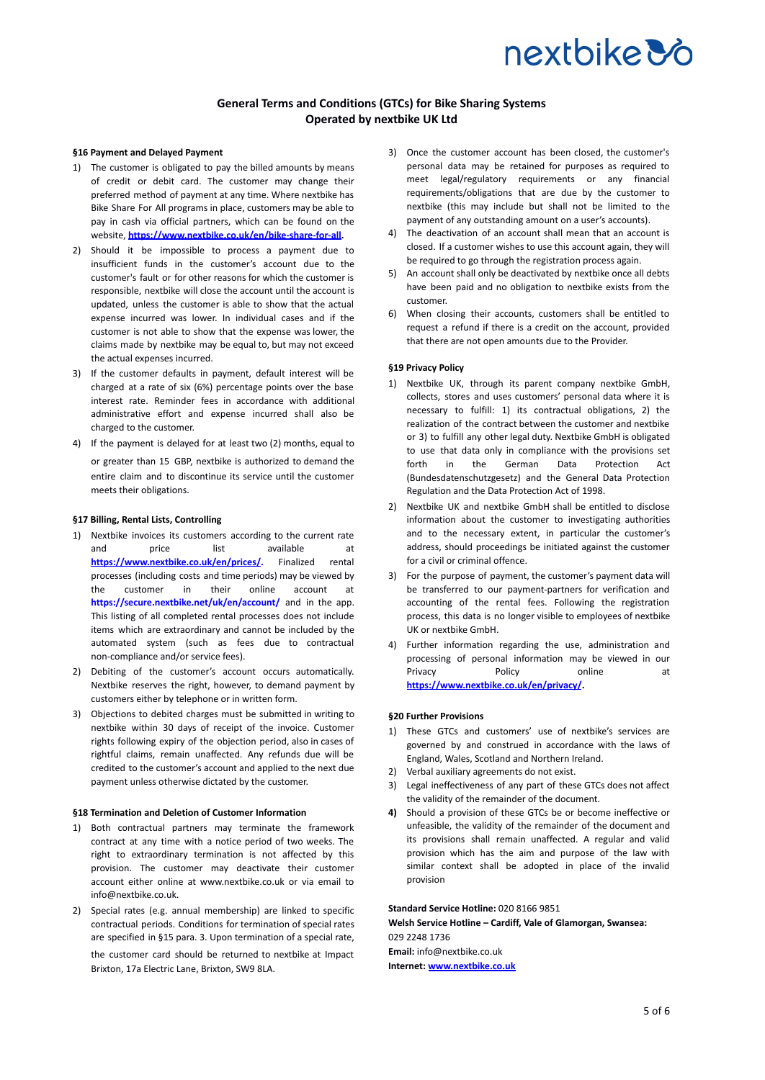## **General Terms and Conditions (GTCs) for Bike Sharing Systems Operated by nextbike UK Ltd**

## **§16 Payment and Delayed Payment**

- 1) The customer is obligated to pay the billed amounts by means of credit or debit card. The customer may change their preferred method of payment at any time. Where nextbike has Bike Share For All programs in place, customers may be able to pay in cash via official partners, which can be found on the website, **[https://www.nextbike.co.uk/en/bike-share-for-all.](https://www.nextbike.co.uk/en/bike-share-for-all)**
- 2) Should it be impossible to process a payment due to insufficient funds in the customer's account due to the customer's fault or for other reasons for which the customer is responsible, nextbike will close the account until the account is updated, unless the customer is able to show that the actual expense incurred was lower. In individual cases and if the customer is not able to show that the expense was lower, the claims made by nextbike may be equal to, but may not exceed the actual expenses incurred.
- 3) If the customer defaults in payment, default interest will be charged at a rate of six (6%) percentage points over the base interest rate. Reminder fees in accordance with additional administrative effort and expense incurred shall also be charged to the customer.
- 4) If the payment is delayed for at least two (2) months, equal to or greater than 15 GBP, nextbike is authorized to demand the entire claim and to discontinue its service until the customer meets their obligations.

#### **§17 Billing, Rental Lists, Controlling**

- 1) Nextbike invoices its customers according to the current rate and price list available at **<https://www.nextbike.co.uk/en/prices/>.** Finalized rental processes (including costs and time periods) may be viewed by the customer in their online account at **<https://secure.nextbike.net/uk/en/account/>** and in the app. This listing of all completed rental processes does not include items which are extraordinary and cannot be included by the automated system (such as fees due to contractual non-compliance and/or service fees).
- 2) Debiting of the customer's account occurs automatically. Nextbike reserves the right, however, to demand payment by customers either by telephone or in written form.
- 3) Objections to debited charges must be submitted in writing to nextbike within 30 days of receipt of the invoice. Customer rights following expiry of the objection period, also in cases of rightful claims, remain unaffected. Any refunds due will be credited to the customer's account and applied to the next due payment unless otherwise dictated by the customer.

#### **§18 Termination and Deletion of Customer Information**

- 1) Both contractual partners may terminate the framework contract at any time with a notice period of two weeks. The right to extraordinary termination is not affected by this provision. The customer may deactivate their customer account either online at www.nextbike.co.uk or via email to info@nextbike.co.uk.
- 2) Special rates (e.g. annual membership) are linked to specific contractual periods. Conditions for termination of special rates are specified in §15 para. 3. Upon termination of a special rate, the customer card should be returned to nextbike at Impact Brixton, 17a Electric Lane, Brixton, SW9 8LA.
- 3) Once the customer account has been closed, the customer's personal data may be retained for purposes as required to meet legal/regulatory requirements or any financial requirements/obligations that are due by the customer to nextbike (this may include but shall not be limited to the payment of any outstanding amount on a user's accounts).
- 4) The deactivation of an account shall mean that an account is closed. If a customer wishes to use this account again, they will be required to go through the registration process again.
- 5) An account shall only be deactivated by nextbike once all debts have been paid and no obligation to nextbike exists from the customer.
- 6) When closing their accounts, customers shall be entitled to request a refund if there is a credit on the account, provided that there are not open amounts due to the Provider.

#### **§19 Privacy Policy**

- 1) Nextbike UK, through its parent company nextbike GmbH, collects, stores and uses customers' personal data where it is necessary to fulfill: 1) its contractual obligations, 2) the realization of the contract between the customer and nextbike or 3) to fulfill any other legal duty. Nextbike GmbH is obligated to use that data only in compliance with the provisions set forth in the German Data Protection Act (Bundesdatenschutzgesetz) and the General Data Protection Regulation and the Data Protection Act of 1998.
- 2) Nextbike UK and nextbike GmbH shall be entitled to disclose information about the customer to investigating authorities and to the necessary extent, in particular the customer's address, should proceedings be initiated against the customer for a civil or criminal offence.
- 3) For the purpose of payment, the customer's payment data will be transferred to our payment-partners for verification and accounting of the rental fees. Following the registration process, this data is no longer visible to employees of nextbike UK or nextbike GmbH.
- 4) Further information regarding the use, administration and processing of personal information may be viewed in our Privacy **Policy Privacy** Policy **Privacy** at **<https://www.nextbike.co.uk/en/privacy/>.**

## **§20 Further Provisions**

- 1) These GTCs and customers' use of nextbike's services are governed by and construed in accordance with the laws of England, Wales, Scotland and Northern Ireland.
- 2) Verbal auxiliary agreements do not exist.
- Legal ineffectiveness of any part of these GTCs does not affect the validity of the remainder of the document.
- **4)** Should a provision of these GTCs be or become ineffective or unfeasible, the validity of the remainder of the document and its provisions shall remain unaffected. A regular and valid provision which has the aim and purpose of the law with similar context shall be adopted in place of the invalid provision

**Standard Service Hotline:** 020 8166 9851

**Welsh Service Hotline – Cardiff, Vale of Glamorgan, Swansea:** 029 2248 1736 **Email:** info@nextbike.co.uk **Internet: [www.nextbike.co.uk](http://www.nextbike.co.uk)**